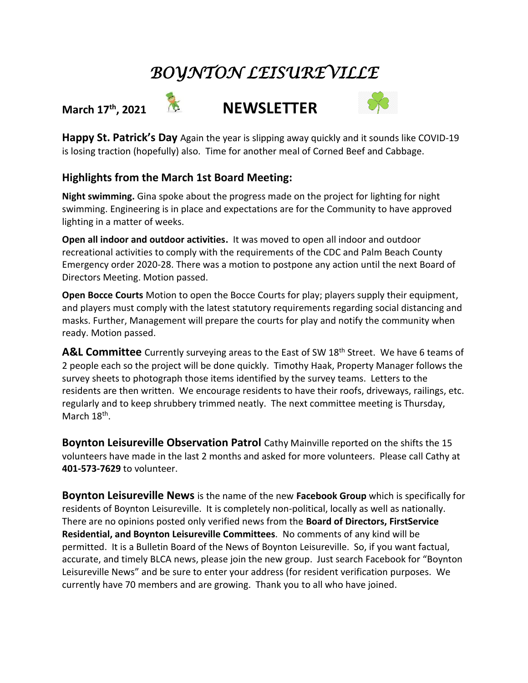## *BOYNTON LEISUREVILLE*







**Happy St. Patrick's Day** Again the year is slipping away quickly and it sounds like COVID-19 is losing traction (hopefully) also. Time for another meal of Corned Beef and Cabbage.

## **Highlights from the March 1st Board Meeting:**

**Night swimming.** Gina spoke about the progress made on the project for lighting for night swimming. Engineering is in place and expectations are for the Community to have approved lighting in a matter of weeks.

**Open all indoor and outdoor activities.** It was moved to open all indoor and outdoor recreational activities to comply with the requirements of the CDC and Palm Beach County Emergency order 2020-28. There was a motion to postpone any action until the next Board of Directors Meeting. Motion passed.

**Open Bocce Courts** Motion to open the Bocce Courts for play; players supply their equipment, and players must comply with the latest statutory requirements regarding social distancing and masks. Further, Management will prepare the courts for play and notify the community when ready. Motion passed.

A&L **Committee** Currently surveying areas to the East of SW 18<sup>th</sup> Street. We have 6 teams of 2 people each so the project will be done quickly. Timothy Haak, Property Manager follows the survey sheets to photograph those items identified by the survey teams. Letters to the residents are then written. We encourage residents to have their roofs, driveways, railings, etc. regularly and to keep shrubbery trimmed neatly. The next committee meeting is Thursday, March 18<sup>th</sup>.

**Boynton Leisureville Observation Patrol** Cathy Mainville reported on the shifts the 15 volunteers have made in the last 2 months and asked for more volunteers. Please call Cathy at **401-573-7629** to volunteer.

**Boynton Leisureville News** is the name of the new **Facebook Group** which is specifically for residents of Boynton Leisureville. It is completely non-political, locally as well as nationally. There are no opinions posted only verified news from the **Board of Directors, FirstService Residential, and Boynton Leisureville Committees**. No comments of any kind will be permitted. It is a Bulletin Board of the News of Boynton Leisureville. So, if you want factual, accurate, and timely BLCA news, please join the new group. Just search Facebook for "Boynton Leisureville News" and be sure to enter your address (for resident verification purposes. We currently have 70 members and are growing. Thank you to all who have joined.